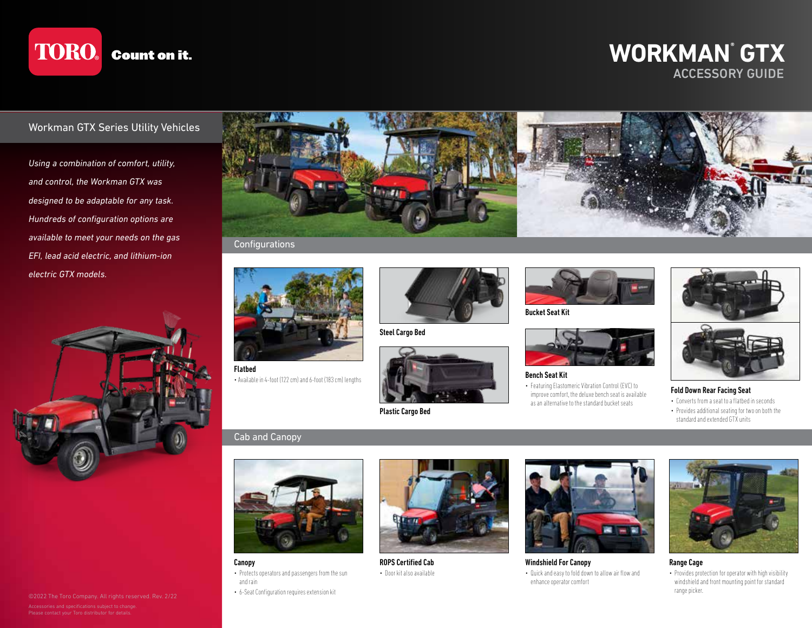

# **WORKMAN® GTX** ACCESSORY GUIDE

# Workman GTX Series Utility Vehicles

*Using a combination of comfort, utility, and control, the Workman GTX was designed to be adaptable for any task. Hundreds of configuration options are available to meet your needs on the gas EFI, lead acid electric, and lithium-ion electric GTX models.* 







Flatbed • Available in 4-foot (122 cm) and 6-foot (183 cm) lengths

### Cab and Canopy



Steel Cargo Bed



Plastic Cargo Bed



Bucket Seat Kit



Bench Seat Kit • Featuring Elastomeric Vibration Control (EVC) to improve comfort, the deluxe bench seat is available as an alternative to the standard bucket seats





- Fold Down Rear Facing Seat
- Converts from a seat to a flatbed in seconds • Provides additional seating for two on both the
- standard and extended GTX units



Canopy • Protects operators and passengers from the sun and rain





ROPS Certified Cab • Door kit also available



Windshield For Canopy • Quick and easy to fold down to allow air flow and enhance operator comfort



Range Cage

• Provides protection for operator with high visibility windshield and front mounting point for standard range picker.

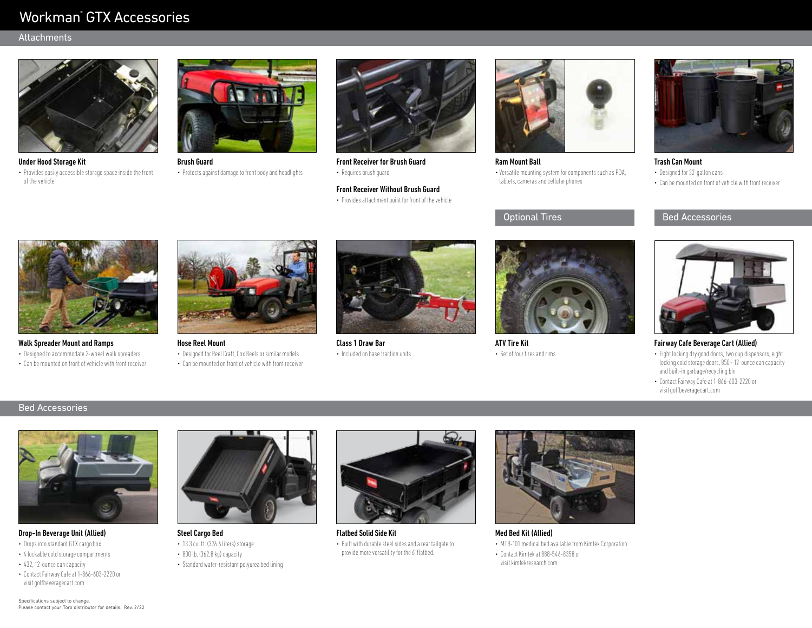# Workman® GTX Accessories

### **Attachments**



Under Hood Storage Kit • Provides easily accessible storage space inside the front of the vehicle



• Protects against damage to front body and headlights



Front Receiver for Brush Guard • Requires brush guard

Front Receiver Without Brush Guard • Provides attachment point for front of the vehicle



• Versatile mounting system for components such as PDA, tablets, cameras and cellular phones



#### Trash Can Mount

- Designed for 32-gallon cans
- Can be mounted on front of vehicle with front receiver

Walk Spreader Mount and Ramps • Designed to accommodate 2-wheel walk spreaders

• Can be mounted on front of vehicle with front receiver



- Hose Reel Mount • Designed for Reel Craft, Cox Reels or similar models
- Can be mounted on front of vehicle with front receiver



Class 1 Draw Bar • Included on base traction units



ATV Tire Kit • Set of four tires and rims

# Optional Tires Bed Accessories



Fairway Cafe Beverage Cart (Allied)

- Eight locking dry good doors, two cup dispensors, eight locking cold storage doors, 850+ 12-ounce can capacity and built-in garbage/recycling bin
- Contact Fairway Cafe at 1-866-603-2220 or visit golfbeveragecart.com

# Bed Accessories



- Drop-In Beverage Unit (Allied) • Drops into standard GTX cargo box
- 4 lockable cold storage compartments
- 432, 12-ounce can capacity
- Contact Fairway Cafe at 1-866-603-2220 or visit golfbeveragecart.com



Steel Cargo Bed • 13.3 cu. ft. (376.6 liters) storage

- 800 lb. (362.8 kg) capacity
- Standard water-resistant polyurea bed lining



Flatbed Solid Side Kit • Built with durable steel sides and a rear tailgate to provide more versatility for the 6' flatbed.



Med Bed Kit (Allied) • MTB-101 medical bed available from Kimtek Corporation

• Contact Kimtek at 888-546-8358 or visit kimtekresearch.com